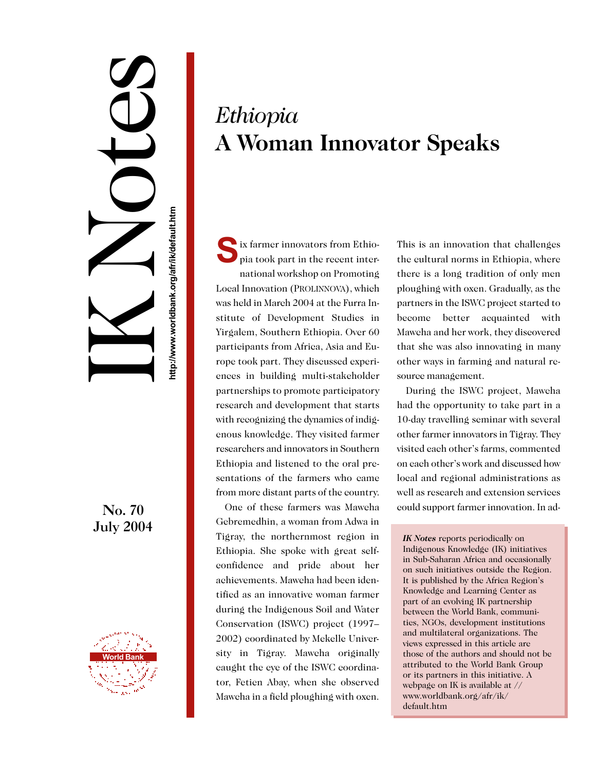## IK Notes nttp://www.worldbank.org/afr/ik/default.htm **http://www.worldbank.org/afr/ik/default.htm**

## No. 70 July 2004



## *Ethiopia* **A Woman Innovator Speaks**

Interval of the recent intervals of the recent intervals of the recent intervals of the recent intervals of the recent intervals of the recent intervals of the recent intervals of the recent intervals of the recent interva pia took part in the recent international workshop on Promoting Local Innovation (PROLINNOVA), which was held in March 2004 at the Furra Institute of Development Studies in Yirgalem, Southern Ethiopia. Over 60 participants from Africa, Asia and Europe took part. They discussed experiences in building multi-stakeholder partnerships to promote participatory research and development that starts with recognizing the dynamics of indigenous knowledge. They visited farmer researchers and innovators in Southern Ethiopia and listened to the oral presentations of the farmers who came from more distant parts of the country.

One of these farmers was Mawcha Gebremedhin, a woman from Adwa in Tigray, the northernmost region in Ethiopia. She spoke with great selfconfidence and pride about her achievements. Mawcha had been identified as an innovative woman farmer during the Indigenous Soil and Water Conservation (ISWC) project (1997– 2002) coordinated by Mekelle University in Tigray. Mawcha originally caught the eye of the ISWC coordinator, Fetien Abay, when she observed Mawcha in a field ploughing with oxen.

This is an innovation that challenges the cultural norms in Ethiopia, where there is a long tradition of only men ploughing with oxen. Gradually, as the partners in the ISWC project started to become better acquainted with Mawcha and her work, they discovered that she was also innovating in many other ways in farming and natural resource management.

During the ISWC project, Mawcha had the opportunity to take part in a 10-day travelling seminar with several other farmer innovators in Tigray. They visited each other's farms, commented on each other's work and discussed how local and regional administrations as well as research and extension services could support farmer innovation. In ad-

*IK Notes* reports periodically on Indigenous Knowledge (IK) initiatives in Sub-Saharan Africa and occasionally on such initiatives outside the Region. It is published by the Africa Region's Knowledge and Learning Center as part of an evolving IK partnership between the World Bank, communities, NGOs, development institutions and multilateral organizations. The views expressed in this article are those of the authors and should not be attributed to the World Bank Group or its partners in this initiative. A webpage on IK is available at // www.worldbank.org/afr/ik/ default.htm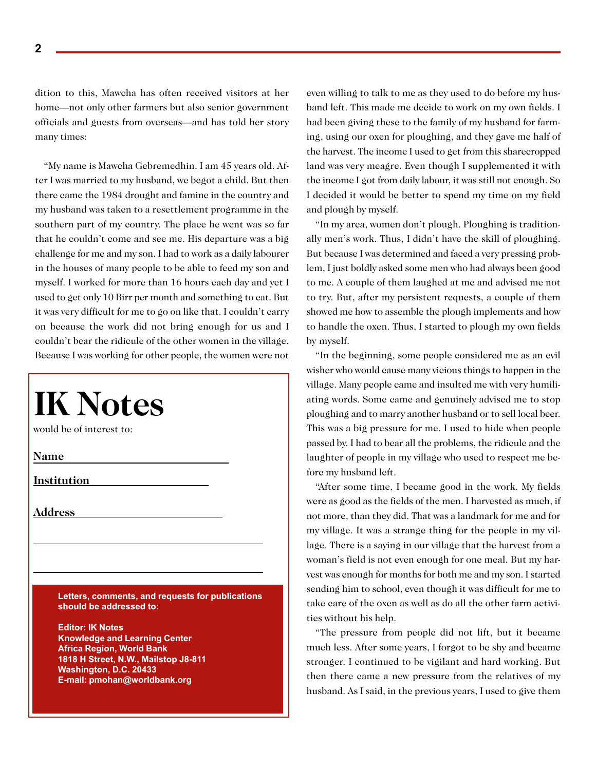dition to this, Mawcha has often received visitors at her home—not only other farmers but also senior government officials and guests from overseas—and has told her story many times:

"My name is Mawcha Gebremedhin. I am 45 years old. After I was married to my husband, we begot a child. But then there came the 1984 drought and famine in the country and my husband was taken to a resettlement programme in the southern part of my country. The place he went was so far that he couldn't come and see me. His departure was a big challenge for me and my son. I had to work as a daily labourer in the houses of many people to be able to feed my son and myself. I worked for more than 16 hours each day and yet I used to get only 10 Birr per month and something to eat. But it was very difficult for me to go on like that. I couldn't carry on because the work did not bring enough for us and I couldn't bear the ridicule of the other women in the village. Because I was working for other people, the women were not

| <b>IK Notes</b><br>would be of interest to:                                                        |
|----------------------------------------------------------------------------------------------------|
| Name                                                                                               |
| <b>Institution</b>                                                                                 |
| <u>Address</u>                                                                                     |
|                                                                                                    |
|                                                                                                    |
| Letters, comments, and requests for publications<br>should be addressed to:                        |
| <b>Editor: IK Notes</b><br><b>Knowledge and Learning Center</b>                                    |
| <b>Africa Region, World Bank</b><br>1818 H Street, N.W., Mailstop J8-811<br>Washington, D.C. 20433 |
| E-mail: pmohan@worldbank.org                                                                       |

even willing to talk to me as they used to do before my husband left. This made me decide to work on my own fields. I had been giving these to the family of my husband for farming, using our oxen for ploughing, and they gave me half of the harvest. The income I used to get from this sharecropped land was very meagre. Even though I supplemented it with the income I got from daily labour, it was still not enough. So I decided it would be better to spend my time on my field and plough by myself.

"In my area, women don't plough. Ploughing is traditionally men's work. Thus, I didn't have the skill of ploughing. But because I was determined and faced a very pressing problem, I just boldly asked some men who had always been good to me. A couple of them laughed at me and advised me not to try. But, after my persistent requests, a couple of them showed me how to assemble the plough implements and how to handle the oxen. Thus, I started to plough my own fields by myself.

"In the beginning, some people considered me as an evil wisher who would cause many vicious things to happen in the village. Many people came and insulted me with very humiliating words. Some came and genuinely advised me to stop ploughing and to marry another husband or to sell local beer. This was a big pressure for me. I used to hide when people passed by. I had to bear all the problems, the ridicule and the laughter of people in my village who used to respect me before my husband left.

"After some time, I became good in the work. My fields were as good as the fields of the men. I harvested as much, if not more, than they did. That was a landmark for me and for my village. It was a strange thing for the people in my village. There is a saying in our village that the harvest from a woman's field is not even enough for one meal. But my harvest was enough for months for both me and my son. I started sending him to school, even though it was difficult for me to take care of the oxen as well as do all the other farm activities without his help.

"The pressure from people did not lift, but it became much less. After some years, I forgot to be shy and became stronger. I continued to be vigilant and hard working. But then there came a new pressure from the relatives of my husband. As I said, in the previous years, I used to give them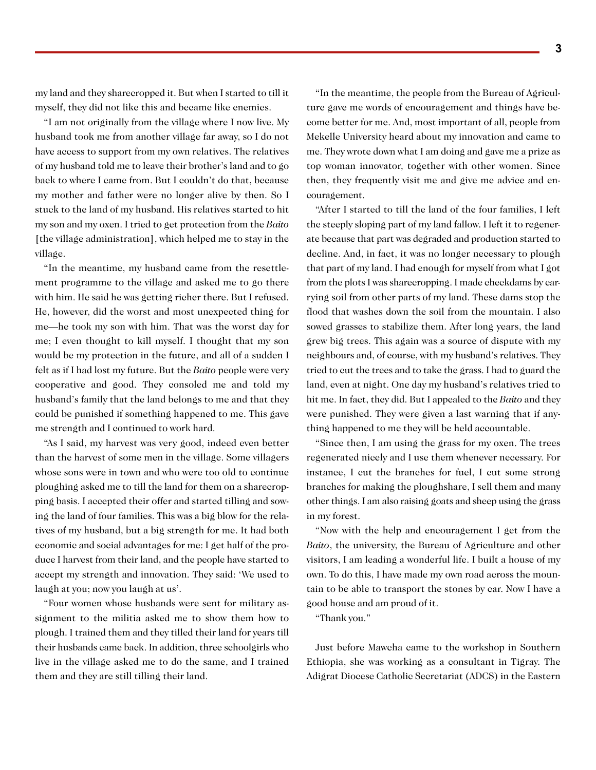my land and they sharecropped it. But when I started to till it myself, they did not like this and became like enemies.

"I am not originally from the village where I now live. My husband took me from another village far away, so I do not have access to support from my own relatives. The relatives of my husband told me to leave their brother's land and to go back to where I came from. But I couldn't do that, because my mother and father were no longer alive by then. So I stuck to the land of my husband. His relatives started to hit my son and my oxen. I tried to get protection from the *Baito* [the village administration], which helped me to stay in the village.

"In the meantime, my husband came from the resettlement programme to the village and asked me to go there with him. He said he was getting richer there. But I refused. He, however, did the worst and most unexpected thing for me—he took my son with him. That was the worst day for me; I even thought to kill myself. I thought that my son would be my protection in the future, and all of a sudden I felt as if I had lost my future. But the *Baito* people were very cooperative and good. They consoled me and told my husband's family that the land belongs to me and that they could be punished if something happened to me. This gave me strength and I continued to work hard.

"As I said, my harvest was very good, indeed even better than the harvest of some men in the village. Some villagers whose sons were in town and who were too old to continue ploughing asked me to till the land for them on a sharecropping basis. I accepted their offer and started tilling and sowing the land of four families. This was a big blow for the relatives of my husband, but a big strength for me. It had both economic and social advantages for me: I get half of the produce I harvest from their land, and the people have started to accept my strength and innovation. They said: 'We used to laugh at you; now you laugh at us'.

"Four women whose husbands were sent for military assignment to the militia asked me to show them how to plough. I trained them and they tilled their land for years till their husbands came back. In addition, three schoolgirls who live in the village asked me to do the same, and I trained them and they are still tilling their land.

"In the meantime, the people from the Bureau of Agriculture gave me words of encouragement and things have become better for me. And, most important of all, people from Mekelle University heard about my innovation and came to me. They wrote down what I am doing and gave me a prize as top woman innovator, together with other women. Since then, they frequently visit me and give me advice and encouragement.

"After I started to till the land of the four families, I left the steeply sloping part of my land fallow. I left it to regenerate because that part was degraded and production started to decline. And, in fact, it was no longer necessary to plough that part of my land. I had enough for myself from what I got from the plots I was sharecropping. I made checkdams by carrying soil from other parts of my land. These dams stop the flood that washes down the soil from the mountain. I also sowed grasses to stabilize them. After long years, the land grew big trees. This again was a source of dispute with my neighbours and, of course, with my husband's relatives. They tried to cut the trees and to take the grass. I had to guard the land, even at night. One day my husband's relatives tried to hit me. In fact, they did. But I appealed to the *Baito* and they were punished. They were given a last warning that if anything happened to me they will be held accountable.

"Since then, I am using the grass for my oxen. The trees regenerated nicely and I use them whenever necessary. For instance, I cut the branches for fuel, I cut some strong branches for making the ploughshare, I sell them and many other things. I am also raising goats and sheep using the grass in my forest.

"Now with the help and encouragement I get from the *Baito*, the university, the Bureau of Agriculture and other visitors, I am leading a wonderful life. I built a house of my own. To do this, I have made my own road across the mountain to be able to transport the stones by car. Now I have a good house and am proud of it.

"Thank you."

Just before Mawcha came to the workshop in Southern Ethiopia, she was working as a consultant in Tigray. The Adigrat Diocese Catholic Secretariat (ADCS) in the Eastern